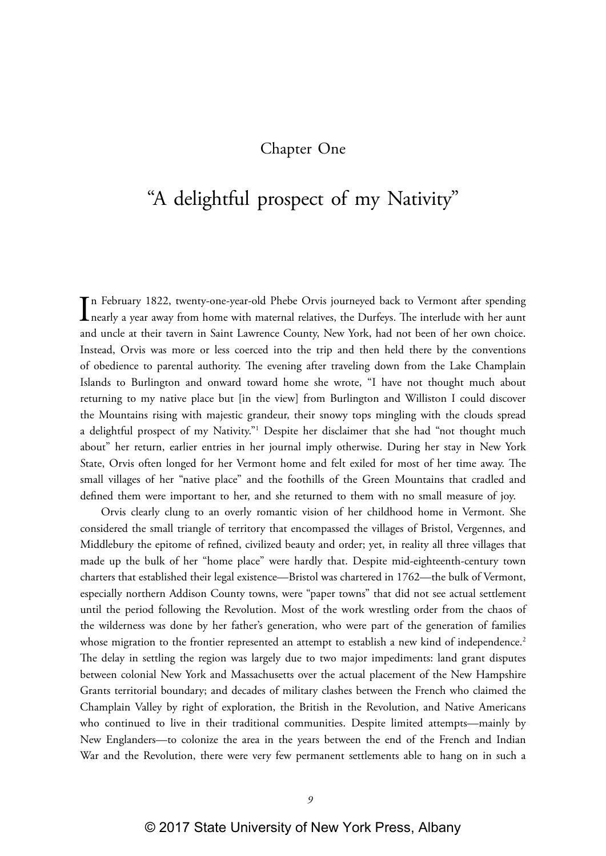## Chapter One

## "A delightful prospect of my Nativity"

In February 1822, twenty-one-year-old Phebe Orvis journeyed back to Vermont after spending<br>nearly a year away from home with maternal relatives, the Durfeys. The interlude with her aunt n February 1822, twenty-one-year-old Phebe Orvis journeyed back to Vermont after spending and uncle at their tavern in Saint Lawrence County, New York, had not been of her own choice. Instead, Orvis was more or less coerced into the trip and then held there by the conventions of obedience to parental authority. The evening after traveling down from the Lake Champlain Islands to Burlington and onward toward home she wrote, "I have not thought much about returning to my native place but [in the view] from Burlington and Williston I could discover the Mountains rising with majestic grandeur, their snowy tops mingling with the clouds spread a delightful prospect of my Nativity."1 Despite her disclaimer that she had "not thought much about" her return, earlier entries in her journal imply otherwise. During her stay in New York State, Orvis often longed for her Vermont home and felt exiled for most of her time away. The small villages of her "native place" and the foothills of the Green Mountains that cradled and defined them were important to her, and she returned to them with no small measure of joy.

Orvis clearly clung to an overly romantic vision of her childhood home in Vermont. She considered the small triangle of territory that encompassed the villages of Bristol, Vergennes, and Middlebury the epitome of refined, civilized beauty and order; yet, in reality all three villages that made up the bulk of her "home place" were hardly that. Despite mid-eighteenth-century town charters that established their legal existence—Bristol was chartered in 1762—the bulk of Vermont, especially northern Addison County towns, were "paper towns" that did not see actual settlement until the period following the Revolution. Most of the work wrestling order from the chaos of the wilderness was done by her father's generation, who were part of the generation of families whose migration to the frontier represented an attempt to establish a new kind of independence.<sup>2</sup> The delay in settling the region was largely due to two major impediments: land grant disputes between colonial New York and Massachusetts over the actual placement of the New Hampshire Grants territorial boundary; and decades of military clashes between the French who claimed the Champlain Valley by right of exploration, the British in the Revolution, and Native Americans who continued to live in their traditional communities. Despite limited attempts—mainly by New Englanders—to colonize the area in the years between the end of the French and Indian War and the Revolution, there were very few permanent settlements able to hang on in such a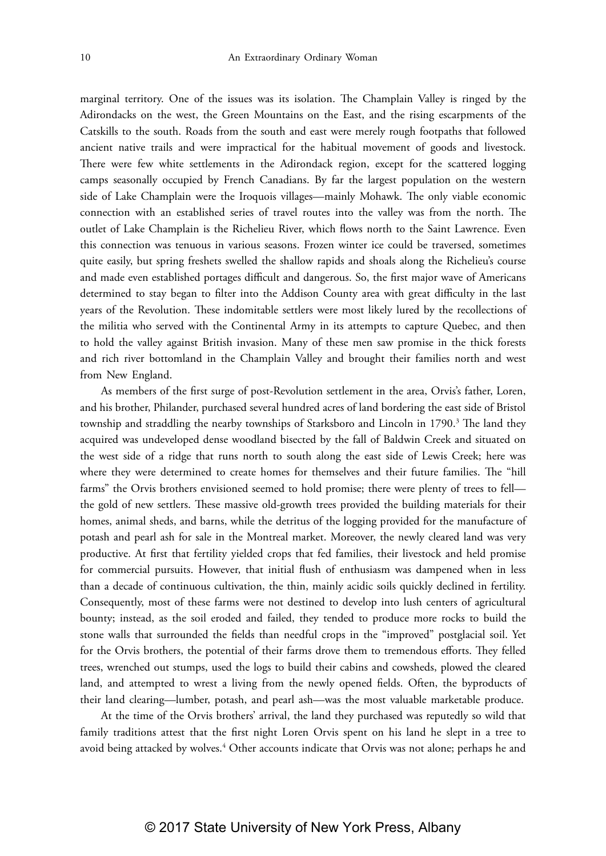marginal territory. One of the issues was its isolation. The Champlain Valley is ringed by the Adirondacks on the west, the Green Mountains on the East, and the rising escarpments of the Catskills to the south. Roads from the south and east were merely rough footpaths that followed ancient native trails and were impractical for the habitual movement of goods and livestock. There were few white settlements in the Adirondack region, except for the scattered logging camps seasonally occupied by French Canadians. By far the largest population on the western side of Lake Champlain were the Iroquois villages—mainly Mohawk. The only viable economic connection with an established series of travel routes into the valley was from the north. The outlet of Lake Champlain is the Richelieu River, which flows north to the Saint Lawrence. Even this connection was tenuous in various seasons. Frozen winter ice could be traversed, sometimes quite easily, but spring freshets swelled the shallow rapids and shoals along the Richelieu's course and made even established portages difficult and dangerous. So, the first major wave of Americans determined to stay began to filter into the Addison County area with great difficulty in the last years of the Revolution. These indomitable settlers were most likely lured by the recollections of the militia who served with the Continental Army in its attempts to capture Quebec, and then to hold the valley against British invasion. Many of these men saw promise in the thick forests and rich river bottomland in the Champlain Valley and brought their families north and west from New England.

As members of the first surge of post-Revolution settlement in the area, Orvis's father, Loren, and his brother, Philander, purchased several hundred acres of land bordering the east side of Bristol township and straddling the nearby townships of Starksboro and Lincoln in 1790.<sup>3</sup> The land they acquired was undeveloped dense woodland bisected by the fall of Baldwin Creek and situated on the west side of a ridge that runs north to south along the east side of Lewis Creek; here was where they were determined to create homes for themselves and their future families. The "hill farms" the Orvis brothers envisioned seemed to hold promise; there were plenty of trees to fell the gold of new settlers. These massive old-growth trees provided the building materials for their homes, animal sheds, and barns, while the detritus of the logging provided for the manufacture of potash and pearl ash for sale in the Montreal market. Moreover, the newly cleared land was very productive. At first that fertility yielded crops that fed families, their livestock and held promise for commercial pursuits. However, that initial flush of enthusiasm was dampened when in less than a decade of continuous cultivation, the thin, mainly acidic soils quickly declined in fertility. Consequently, most of these farms were not destined to develop into lush centers of agricultural bounty; instead, as the soil eroded and failed, they tended to produce more rocks to build the stone walls that surrounded the fields than needful crops in the "improved" postglacial soil. Yet for the Orvis brothers, the potential of their farms drove them to tremendous efforts. They felled trees, wrenched out stumps, used the logs to build their cabins and cowsheds, plowed the cleared land, and attempted to wrest a living from the newly opened fields. Often, the byproducts of their land clearing—lumber, potash, and pearl ash—was the most valuable marketable produce.

At the time of the Orvis brothers' arrival, the land they purchased was reputedly so wild that family traditions attest that the first night Loren Orvis spent on his land he slept in a tree to avoid being attacked by wolves.<sup>4</sup> Other accounts indicate that Orvis was not alone; perhaps he and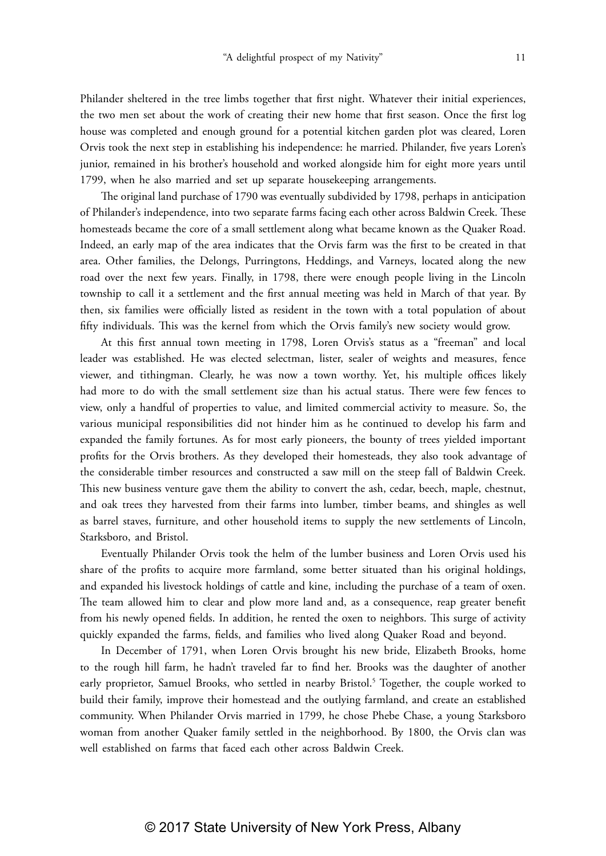Philander sheltered in the tree limbs together that first night. Whatever their initial experiences, the two men set about the work of creating their new home that first season. Once the first log house was completed and enough ground for a potential kitchen garden plot was cleared, Loren Orvis took the next step in establishing his independence: he married. Philander, five years Loren's junior, remained in his brother's household and worked alongside him for eight more years until 1799, when he also married and set up separate housekeeping arrangements.

The original land purchase of 1790 was eventually subdivided by 1798, perhaps in anticipation of Philander's independence, into two separate farms facing each other across Baldwin Creek. These homesteads became the core of a small settlement along what became known as the Quaker Road. Indeed, an early map of the area indicates that the Orvis farm was the first to be created in that area. Other families, the Delongs, Purringtons, Heddings, and Varneys, located along the new road over the next few years. Finally, in 1798, there were enough people living in the Lincoln township to call it a settlement and the first annual meeting was held in March of that year. By then, six families were officially listed as resident in the town with a total population of about fifty individuals. This was the kernel from which the Orvis family's new society would grow.

At this first annual town meeting in 1798, Loren Orvis's status as a "freeman" and local leader was established. He was elected selectman, lister, sealer of weights and measures, fence viewer, and tithingman. Clearly, he was now a town worthy. Yet, his multiple offices likely had more to do with the small settlement size than his actual status. There were few fences to view, only a handful of properties to value, and limited commercial activity to measure. So, the various municipal responsibilities did not hinder him as he continued to develop his farm and expanded the family fortunes. As for most early pioneers, the bounty of trees yielded important profits for the Orvis brothers. As they developed their homesteads, they also took advantage of the considerable timber resources and constructed a saw mill on the steep fall of Baldwin Creek. This new business venture gave them the ability to convert the ash, cedar, beech, maple, chestnut, and oak trees they harvested from their farms into lumber, timber beams, and shingles as well as barrel staves, furniture, and other household items to supply the new settlements of Lincoln, Starksboro, and Bristol.

Eventually Philander Orvis took the helm of the lumber business and Loren Orvis used his share of the profits to acquire more farmland, some better situated than his original holdings, and expanded his livestock holdings of cattle and kine, including the purchase of a team of oxen. The team allowed him to clear and plow more land and, as a consequence, reap greater benefit from his newly opened fields. In addition, he rented the oxen to neighbors. This surge of activity quickly expanded the farms, fields, and families who lived along Quaker Road and beyond.

In December of 1791, when Loren Orvis brought his new bride, Elizabeth Brooks, home to the rough hill farm, he hadn't traveled far to find her. Brooks was the daughter of another early proprietor, Samuel Brooks, who settled in nearby Bristol.<sup>5</sup> Together, the couple worked to build their family, improve their homestead and the outlying farmland, and create an established community. When Philander Orvis married in 1799, he chose Phebe Chase, a young Starksboro woman from another Quaker family settled in the neighborhood. By 1800, the Orvis clan was well established on farms that faced each other across Baldwin Creek.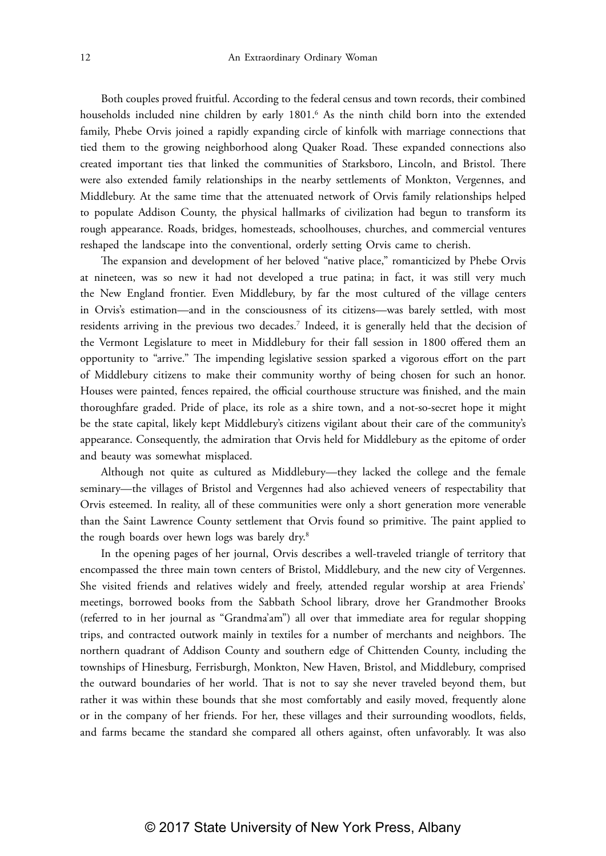Both couples proved fruitful. According to the federal census and town records, their combined households included nine children by early 1801.<sup>6</sup> As the ninth child born into the extended family, Phebe Orvis joined a rapidly expanding circle of kinfolk with marriage connections that tied them to the growing neighborhood along Quaker Road. These expanded connections also created important ties that linked the communities of Starksboro, Lincoln, and Bristol. There were also extended family relationships in the nearby settlements of Monkton, Vergennes, and Middlebury. At the same time that the attenuated network of Orvis family relationships helped to populate Addison County, the physical hallmarks of civilization had begun to transform its rough appearance. Roads, bridges, homesteads, schoolhouses, churches, and commercial ventures reshaped the landscape into the conventional, orderly setting Orvis came to cherish.

The expansion and development of her beloved "native place," romanticized by Phebe Orvis at nineteen, was so new it had not developed a true patina; in fact, it was still very much the New England frontier. Even Middlebury, by far the most cultured of the village centers in Orvis's estimation—and in the consciousness of its citizens—was barely settled, with most residents arriving in the previous two decades.7 Indeed, it is generally held that the decision of the Vermont Legislature to meet in Middlebury for their fall session in 1800 offered them an opportunity to "arrive." The impending legislative session sparked a vigorous effort on the part of Middlebury citizens to make their community worthy of being chosen for such an honor. Houses were painted, fences repaired, the official courthouse structure was finished, and the main thoroughfare graded. Pride of place, its role as a shire town, and a not-so-secret hope it might be the state capital, likely kept Middlebury's citizens vigilant about their care of the community's appearance. Consequently, the admiration that Orvis held for Middlebury as the epitome of order and beauty was somewhat misplaced.

Although not quite as cultured as Middlebury—they lacked the college and the female seminary—the villages of Bristol and Vergennes had also achieved veneers of respectability that Orvis esteemed. In reality, all of these communities were only a short generation more venerable than the Saint Lawrence County settlement that Orvis found so primitive. The paint applied to the rough boards over hewn logs was barely dry.<sup>8</sup>

In the opening pages of her journal, Orvis describes a well-traveled triangle of territory that encompassed the three main town centers of Bristol, Middlebury, and the new city of Vergennes. She visited friends and relatives widely and freely, attended regular worship at area Friends' meetings, borrowed books from the Sabbath School library, drove her Grandmother Brooks (referred to in her journal as "Grandma'am") all over that immediate area for regular shopping trips, and contracted outwork mainly in textiles for a number of merchants and neighbors. The northern quadrant of Addison County and southern edge of Chittenden County, including the townships of Hinesburg, Ferrisburgh, Monkton, New Haven, Bristol, and Middlebury, comprised the outward boundaries of her world. That is not to say she never traveled beyond them, but rather it was within these bounds that she most comfortably and easily moved, frequently alone or in the company of her friends. For her, these villages and their surrounding woodlots, fields, and farms became the standard she compared all others against, often unfavorably. It was also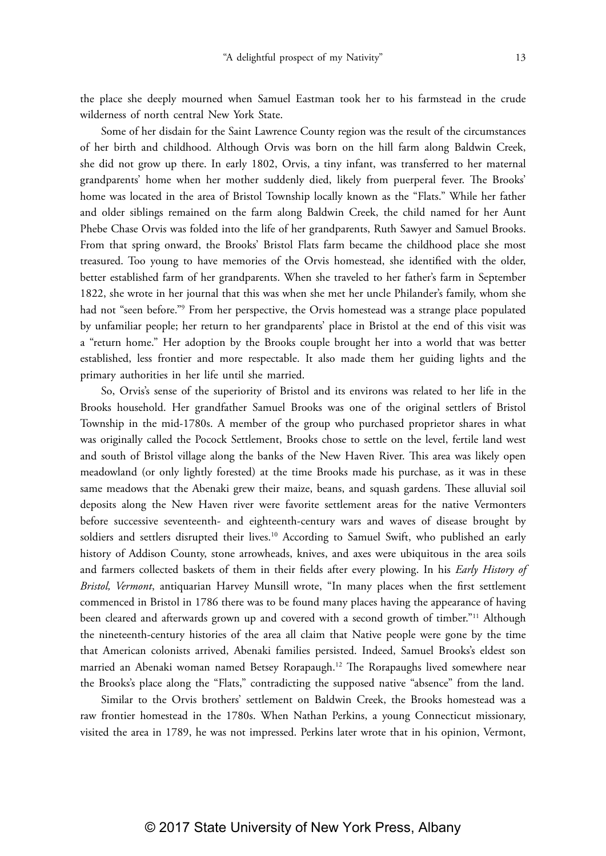the place she deeply mourned when Samuel Eastman took her to his farmstead in the crude wilderness of north central New York State.

Some of her disdain for the Saint Lawrence County region was the result of the circumstances of her birth and childhood. Although Orvis was born on the hill farm along Baldwin Creek, she did not grow up there. In early 1802, Orvis, a tiny infant, was transferred to her maternal grandparents' home when her mother suddenly died, likely from puerperal fever. The Brooks' home was located in the area of Bristol Township locally known as the "Flats." While her father and older siblings remained on the farm along Baldwin Creek, the child named for her Aunt Phebe Chase Orvis was folded into the life of her grandparents, Ruth Sawyer and Samuel Brooks. From that spring onward, the Brooks' Bristol Flats farm became the childhood place she most treasured. Too young to have memories of the Orvis homestead, she identified with the older, better established farm of her grandparents. When she traveled to her father's farm in September 1822, she wrote in her journal that this was when she met her uncle Philander's family, whom she had not "seen before."9 From her perspective, the Orvis homestead was a strange place populated by unfamiliar people; her return to her grandparents' place in Bristol at the end of this visit was a "return home." Her adoption by the Brooks couple brought her into a world that was better established, less frontier and more respectable. It also made them her guiding lights and the primary authorities in her life until she married.

So, Orvis's sense of the superiority of Bristol and its environs was related to her life in the Brooks household. Her grandfather Samuel Brooks was one of the original settlers of Bristol Township in the mid-1780s. A member of the group who purchased proprietor shares in what was originally called the Pocock Settlement, Brooks chose to settle on the level, fertile land west and south of Bristol village along the banks of the New Haven River. This area was likely open meadowland (or only lightly forested) at the time Brooks made his purchase, as it was in these same meadows that the Abenaki grew their maize, beans, and squash gardens. These alluvial soil deposits along the New Haven river were favorite settlement areas for the native Vermonters before successive seventeenth- and eighteenth-century wars and waves of disease brought by soldiers and settlers disrupted their lives.<sup>10</sup> According to Samuel Swift, who published an early history of Addison County, stone arrowheads, knives, and axes were ubiquitous in the area soils and farmers collected baskets of them in their fields after every plowing. In his *Early History of Bristol, Vermont*, antiquarian Harvey Munsill wrote, "In many places when the first settlement commenced in Bristol in 1786 there was to be found many places having the appearance of having been cleared and afterwards grown up and covered with a second growth of timber."11 Although the nineteenth-century histories of the area all claim that Native people were gone by the time that American colonists arrived, Abenaki families persisted. Indeed, Samuel Brooks's eldest son married an Abenaki woman named Betsey Rorapaugh.12 The Rorapaughs lived somewhere near the Brooks's place along the "Flats," contradicting the supposed native "absence" from the land.

Similar to the Orvis brothers' settlement on Baldwin Creek, the Brooks homestead was a raw frontier homestead in the 1780s. When Nathan Perkins, a young Connecticut missionary, visited the area in 1789, he was not impressed. Perkins later wrote that in his opinion, Vermont,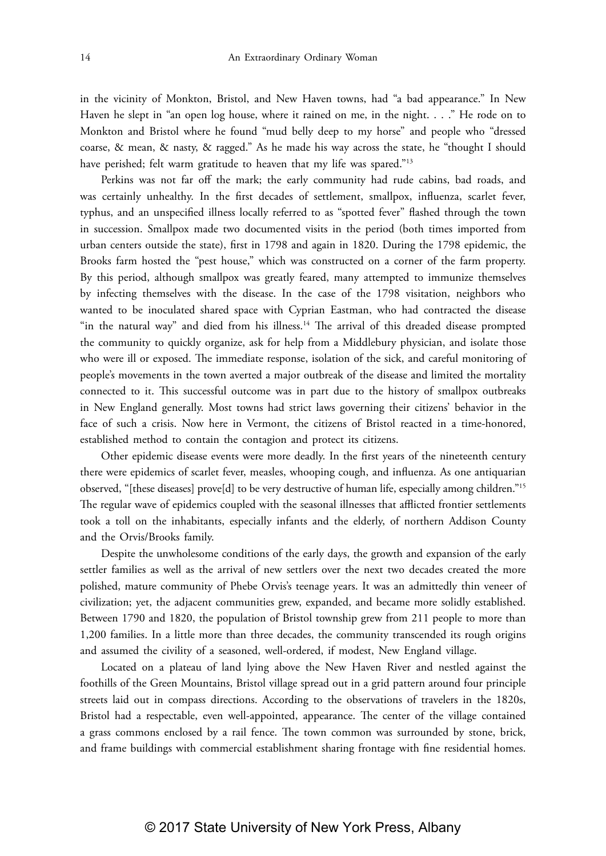in the vicinity of Monkton, Bristol, and New Haven towns, had "a bad appearance." In New Haven he slept in "an open log house, where it rained on me, in the night. . . ." He rode on to Monkton and Bristol where he found "mud belly deep to my horse" and people who "dressed coarse, & mean, & nasty, & ragged." As he made his way across the state, he "thought I should have perished; felt warm gratitude to heaven that my life was spared."<sup>13</sup>

Perkins was not far off the mark; the early community had rude cabins, bad roads, and was certainly unhealthy. In the first decades of settlement, smallpox, influenza, scarlet fever, typhus, and an unspecified illness locally referred to as "spotted fever" flashed through the town in succession. Smallpox made two documented visits in the period (both times imported from urban centers outside the state), first in 1798 and again in 1820. During the 1798 epidemic, the Brooks farm hosted the "pest house," which was constructed on a corner of the farm property. By this period, although smallpox was greatly feared, many attempted to immunize themselves by infecting themselves with the disease. In the case of the 1798 visitation, neighbors who wanted to be inoculated shared space with Cyprian Eastman, who had contracted the disease "in the natural way" and died from his illness.<sup>14</sup> The arrival of this dreaded disease prompted the community to quickly organize, ask for help from a Middlebury physician, and isolate those who were ill or exposed. The immediate response, isolation of the sick, and careful monitoring of people's movements in the town averted a major outbreak of the disease and limited the mortality connected to it. This successful outcome was in part due to the history of smallpox outbreaks in New England generally. Most towns had strict laws governing their citizens' behavior in the face of such a crisis. Now here in Vermont, the citizens of Bristol reacted in a time-honored, established method to contain the contagion and protect its citizens.

Other epidemic disease events were more deadly. In the first years of the nineteenth century there were epidemics of scarlet fever, measles, whooping cough, and influenza. As one antiquarian observed, "[these diseases] prove[d] to be very destructive of human life, especially among children."15 The regular wave of epidemics coupled with the seasonal illnesses that afflicted frontier settlements took a toll on the inhabitants, especially infants and the elderly, of northern Addison County and the Orvis/Brooks family.

Despite the unwholesome conditions of the early days, the growth and expansion of the early settler families as well as the arrival of new settlers over the next two decades created the more polished, mature community of Phebe Orvis's teenage years. It was an admittedly thin veneer of civilization; yet, the adjacent communities grew, expanded, and became more solidly established. Between 1790 and 1820, the population of Bristol township grew from 211 people to more than 1,200 families. In a little more than three decades, the community transcended its rough origins and assumed the civility of a seasoned, well-ordered, if modest, New England village.

Located on a plateau of land lying above the New Haven River and nestled against the foothills of the Green Mountains, Bristol village spread out in a grid pattern around four principle streets laid out in compass directions. According to the observations of travelers in the 1820s, Bristol had a respectable, even well-appointed, appearance. The center of the village contained a grass commons enclosed by a rail fence. The town common was surrounded by stone, brick, and frame buildings with commercial establishment sharing frontage with fine residential homes.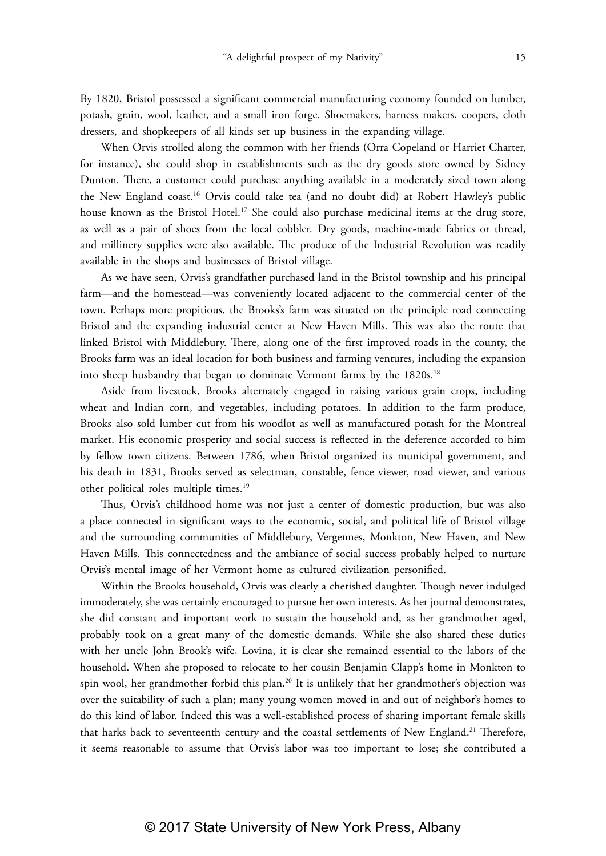By 1820, Bristol possessed a significant commercial manufacturing economy founded on lumber, potash, grain, wool, leather, and a small iron forge. Shoemakers, harness makers, coopers, cloth dressers, and shopkeepers of all kinds set up business in the expanding village.

When Orvis strolled along the common with her friends (Orra Copeland or Harriet Charter, for instance), she could shop in establishments such as the dry goods store owned by Sidney Dunton. There, a customer could purchase anything available in a moderately sized town along the New England coast.16 Orvis could take tea (and no doubt did) at Robert Hawley's public house known as the Bristol Hotel.<sup>17</sup> She could also purchase medicinal items at the drug store, as well as a pair of shoes from the local cobbler. Dry goods, machine-made fabrics or thread, and millinery supplies were also available. The produce of the Industrial Revolution was readily available in the shops and businesses of Bristol village.

As we have seen, Orvis's grandfather purchased land in the Bristol township and his principal farm—and the homestead—was conveniently located adjacent to the commercial center of the town. Perhaps more propitious, the Brooks's farm was situated on the principle road connecting Bristol and the expanding industrial center at New Haven Mills. This was also the route that linked Bristol with Middlebury. There, along one of the first improved roads in the county, the Brooks farm was an ideal location for both business and farming ventures, including the expansion into sheep husbandry that began to dominate Vermont farms by the 1820s.<sup>18</sup>

Aside from livestock, Brooks alternately engaged in raising various grain crops, including wheat and Indian corn, and vegetables, including potatoes. In addition to the farm produce, Brooks also sold lumber cut from his woodlot as well as manufactured potash for the Montreal market. His economic prosperity and social success is reflected in the deference accorded to him by fellow town citizens. Between 1786, when Bristol organized its municipal government, and his death in 1831, Brooks served as selectman, constable, fence viewer, road viewer, and various other political roles multiple times.19

Thus, Orvis's childhood home was not just a center of domestic production, but was also a place connected in significant ways to the economic, social, and political life of Bristol village and the surrounding communities of Middlebury, Vergennes, Monkton, New Haven, and New Haven Mills. This connectedness and the ambiance of social success probably helped to nurture Orvis's mental image of her Vermont home as cultured civilization personified.

Within the Brooks household, Orvis was clearly a cherished daughter. Though never indulged immoderately, she was certainly encouraged to pursue her own interests. As her journal demonstrates, she did constant and important work to sustain the household and, as her grandmother aged, probably took on a great many of the domestic demands. While she also shared these duties with her uncle John Brook's wife, Lovina, it is clear she remained essential to the labors of the household. When she proposed to relocate to her cousin Benjamin Clapp's home in Monkton to spin wool, her grandmother forbid this plan.20 It is unlikely that her grandmother's objection was over the suitability of such a plan; many young women moved in and out of neighbor's homes to do this kind of labor. Indeed this was a well-established process of sharing important female skills that harks back to seventeenth century and the coastal settlements of New England.<sup>21</sup> Therefore, it seems reasonable to assume that Orvis's labor was too important to lose; she contributed a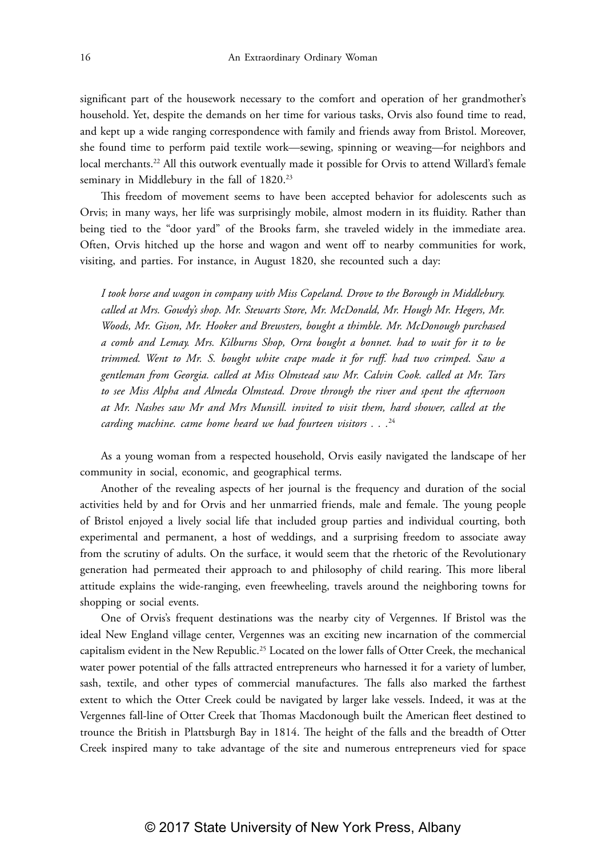significant part of the housework necessary to the comfort and operation of her grandmother's household. Yet, despite the demands on her time for various tasks, Orvis also found time to read, and kept up a wide ranging correspondence with family and friends away from Bristol. Moreover, she found time to perform paid textile work—sewing, spinning or weaving—for neighbors and local merchants.<sup>22</sup> All this outwork eventually made it possible for Orvis to attend Willard's female seminary in Middlebury in the fall of 1820.<sup>23</sup>

This freedom of movement seems to have been accepted behavior for adolescents such as Orvis; in many ways, her life was surprisingly mobile, almost modern in its fluidity. Rather than being tied to the "door yard" of the Brooks farm, she traveled widely in the immediate area. Often, Orvis hitched up the horse and wagon and went off to nearby communities for work, visiting, and parties. For instance, in August 1820, she recounted such a day:

*I took horse and wagon in company with Miss Copeland. Drove to the Borough in Middlebury. called at Mrs. Gowdy's shop. Mr. Stewarts Store, Mr. McDonald, Mr. Hough Mr. Hegers, Mr. Woods, Mr. Gison, Mr. Hooker and Brewsters, bought a thimble. Mr. McDonough purchased a comb and Lemay. Mrs. Kilburns Shop, Orra bought a bonnet. had to wait for it to be trimmed. Went to Mr. S. bought white crape made it for ruff. had two crimped. Saw a gentleman from Georgia. called at Miss Olmstead saw Mr. Calvin Cook. called at Mr. Tars to see Miss Alpha and Almeda Olmstead. Drove through the river and spent the afternoon at Mr. Nashes saw Mr and Mrs Munsill. invited to visit them, hard shower, called at the carding machine. came home heard we had fourteen visitors . . .*<sup>24</sup>

As a young woman from a respected household, Orvis easily navigated the landscape of her community in social, economic, and geographical terms.

Another of the revealing aspects of her journal is the frequency and duration of the social activities held by and for Orvis and her unmarried friends, male and female. The young people of Bristol enjoyed a lively social life that included group parties and individual courting, both experimental and permanent, a host of weddings, and a surprising freedom to associate away from the scrutiny of adults. On the surface, it would seem that the rhetoric of the Revolutionary generation had permeated their approach to and philosophy of child rearing. This more liberal attitude explains the wide-ranging, even freewheeling, travels around the neighboring towns for shopping or social events.

One of Orvis's frequent destinations was the nearby city of Vergennes. If Bristol was the ideal New England village center, Vergennes was an exciting new incarnation of the commercial capitalism evident in the New Republic.25 Located on the lower falls of Otter Creek, the mechanical water power potential of the falls attracted entrepreneurs who harnessed it for a variety of lumber, sash, textile, and other types of commercial manufactures. The falls also marked the farthest extent to which the Otter Creek could be navigated by larger lake vessels. Indeed, it was at the Vergennes fall-line of Otter Creek that Thomas Macdonough built the American fleet destined to trounce the British in Plattsburgh Bay in 1814. The height of the falls and the breadth of Otter Creek inspired many to take advantage of the site and numerous entrepreneurs vied for space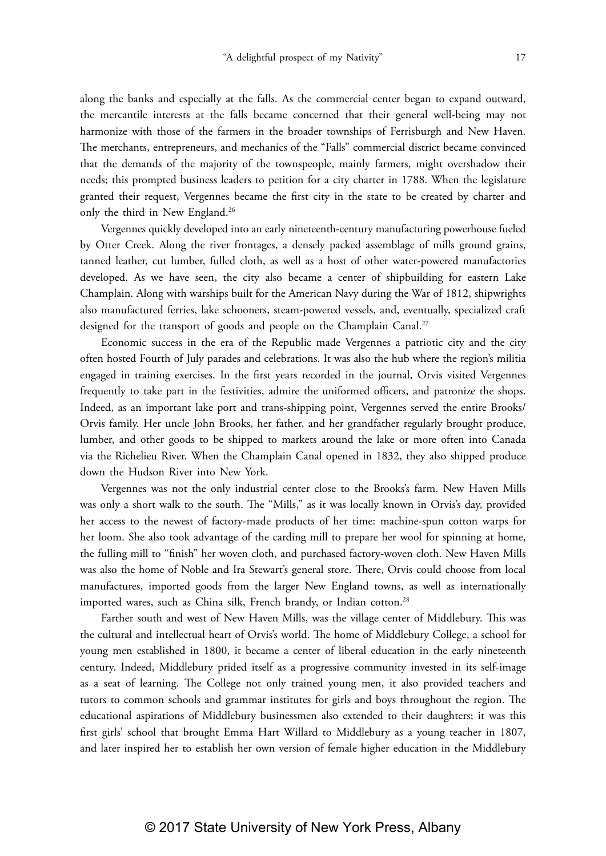along the banks and especially at the falls. As the commercial center began to expand outward, the mercantile interests at the falls became concerned that their general well-being may not harmonize with those of the farmers in the broader townships of Ferrisburgh and New Haven. The merchants, entrepreneurs, and mechanics of the "Falls" commercial district became convinced that the demands of the majority of the townspeople, mainly farmers, might overshadow their needs; this prompted business leaders to petition for a city charter in 1788. When the legislature granted their request, Vergennes became the first city in the state to be created by charter and only the third in New England.<sup>26</sup>

Vergennes quickly developed into an early nineteenth-century manufacturing powerhouse fueled by Otter Creek. Along the river frontages, a densely packed assemblage of mills ground grains, tanned leather, cut lumber, fulled cloth, as well as a host of other water-powered manufactories developed. As we have seen, the city also became a center of shipbuilding for eastern Lake Champlain. Along with warships built for the American Navy during the War of 1812, shipwrights also manufactured ferries, lake schooners, steam-powered vessels, and, eventually, specialized craft designed for the transport of goods and people on the Champlain Canal.<sup>27</sup>

Economic success in the era of the Republic made Vergennes a patriotic city and the city often hosted Fourth of July parades and celebrations. It was also the hub where the region's militia engaged in training exercises. In the first years recorded in the journal, Orvis visited Vergennes frequently to take part in the festivities, admire the uniformed officers, and patronize the shops. Indeed, as an important lake port and trans-shipping point, Vergennes served the entire Brooks/ Orvis family. Her uncle John Brooks, her father, and her grandfather regularly brought produce, lumber, and other goods to be shipped to markets around the lake or more often into Canada via the Richelieu River. When the Champlain Canal opened in 1832, they also shipped produce down the Hudson River into New York.

Vergennes was not the only industrial center close to the Brooks's farm. New Haven Mills was only a short walk to the south. The "Mills," as it was locally known in Orvis's day, provided her access to the newest of factory-made products of her time: machine-spun cotton warps for her loom. She also took advantage of the carding mill to prepare her wool for spinning at home, the fulling mill to "finish" her woven cloth, and purchased factory-woven cloth. New Haven Mills was also the home of Noble and Ira Stewart's general store. There, Orvis could choose from local manufactures, imported goods from the larger New England towns, as well as internationally imported wares, such as China silk, French brandy, or Indian cotton.<sup>28</sup>

Farther south and west of New Haven Mills, was the village center of Middlebury. This was the cultural and intellectual heart of Orvis's world. The home of Middlebury College, a school for young men established in 1800, it became a center of liberal education in the early nineteenth century. Indeed, Middlebury prided itself as a progressive community invested in its self-image as a seat of learning. The College not only trained young men, it also provided teachers and tutors to common schools and grammar institutes for girls and boys throughout the region. The educational aspirations of Middlebury businessmen also extended to their daughters; it was this first girls' school that brought Emma Hart Willard to Middlebury as a young teacher in 1807, and later inspired her to establish her own version of female higher education in the Middlebury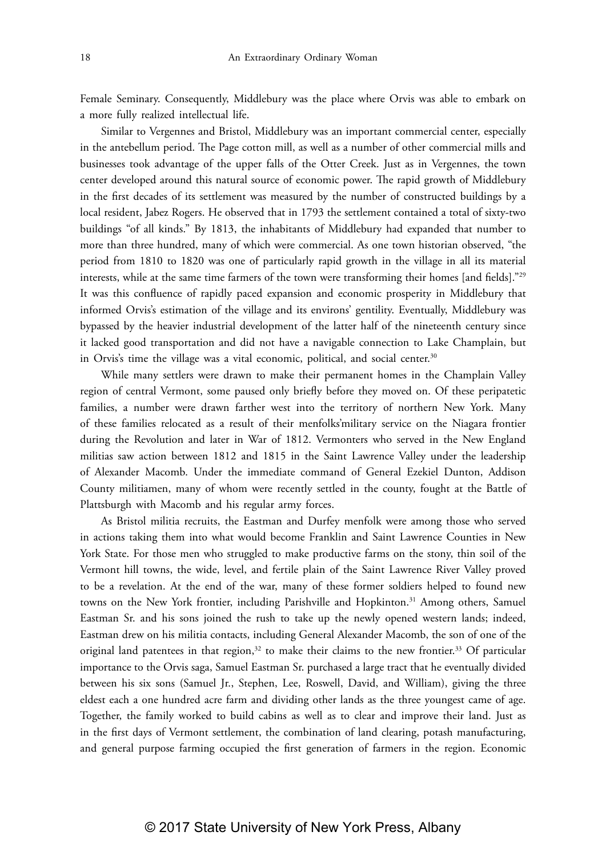Female Seminary. Consequently, Middlebury was the place where Orvis was able to embark on a more fully realized intellectual life.

Similar to Vergennes and Bristol, Middlebury was an important commercial center, especially in the antebellum period. The Page cotton mill, as well as a number of other commercial mills and businesses took advantage of the upper falls of the Otter Creek. Just as in Vergennes, the town center developed around this natural source of economic power. The rapid growth of Middlebury in the first decades of its settlement was measured by the number of constructed buildings by a local resident, Jabez Rogers. He observed that in 1793 the settlement contained a total of sixty-two buildings "of all kinds." By 1813, the inhabitants of Middlebury had expanded that number to more than three hundred, many of which were commercial. As one town historian observed, "the period from 1810 to 1820 was one of particularly rapid growth in the village in all its material interests, while at the same time farmers of the town were transforming their homes [and fields]."29 It was this confluence of rapidly paced expansion and economic prosperity in Middlebury that informed Orvis's estimation of the village and its environs' gentility. Eventually, Middlebury was bypassed by the heavier industrial development of the latter half of the nineteenth century since it lacked good transportation and did not have a navigable connection to Lake Champlain, but in Orvis's time the village was a vital economic, political, and social center.<sup>30</sup>

While many settlers were drawn to make their permanent homes in the Champlain Valley region of central Vermont, some paused only briefly before they moved on. Of these peripatetic families, a number were drawn farther west into the territory of northern New York. Many of these families relocated as a result of their menfolks'military service on the Niagara frontier during the Revolution and later in War of 1812. Vermonters who served in the New England militias saw action between 1812 and 1815 in the Saint Lawrence Valley under the leadership of Alexander Macomb. Under the immediate command of General Ezekiel Dunton, Addison County militiamen, many of whom were recently settled in the county, fought at the Battle of Plattsburgh with Macomb and his regular army forces.

As Bristol militia recruits, the Eastman and Durfey menfolk were among those who served in actions taking them into what would become Franklin and Saint Lawrence Counties in New York State. For those men who struggled to make productive farms on the stony, thin soil of the Vermont hill towns, the wide, level, and fertile plain of the Saint Lawrence River Valley proved to be a revelation. At the end of the war, many of these former soldiers helped to found new towns on the New York frontier, including Parishville and Hopkinton.<sup>31</sup> Among others, Samuel Eastman Sr. and his sons joined the rush to take up the newly opened western lands; indeed, Eastman drew on his militia contacts, including General Alexander Macomb, the son of one of the original land patentees in that region, $32$  to make their claims to the new frontier. $33$  Of particular importance to the Orvis saga, Samuel Eastman Sr. purchased a large tract that he eventually divided between his six sons (Samuel Jr., Stephen, Lee, Roswell, David, and William), giving the three eldest each a one hundred acre farm and dividing other lands as the three youngest came of age. Together, the family worked to build cabins as well as to clear and improve their land. Just as in the first days of Vermont settlement, the combination of land clearing, potash manufacturing, and general purpose farming occupied the first generation of farmers in the region. Economic